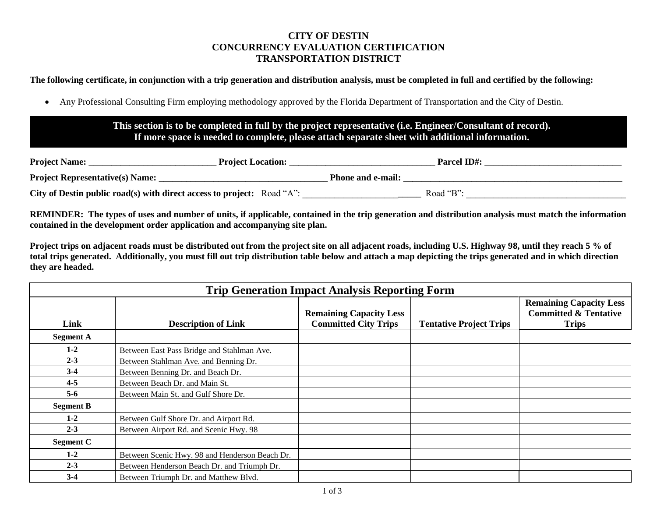## **CITY OF DESTIN CONCURRENCY EVALUATION CERTIFICATION TRANSPORTATION DISTRICT**

**The following certificate, in conjunction with a trip generation and distribution analysis, must be completed in full and certified by the following:**

• Any Professional Consulting Firm employing methodology approved by the Florida Department of Transportation and the City of Destin.

## **This section is to be completed in full by the project representative (i.e. Engineer/Consultant of record). If more space is needed to complete, please attach separate sheet with additional information.**

**:**

| <b>Project Name:</b>                                                   | <b>Project Location:</b> |                          | <b>Parcel ID#:</b> |  |
|------------------------------------------------------------------------|--------------------------|--------------------------|--------------------|--|
| <b>Project Representative(s) Name:</b>                                 |                          | <b>Phone and e-mail:</b> |                    |  |
| City of Destin public road(s) with direct access to project: Road "A": |                          |                          | Road "B":          |  |

**REMINDER: The types of uses and number of units, if applicable, contained in the trip generation and distribution analysis must match the information contained in the development order application and accompanying site plan.**

**Project trips on adjacent roads must be distributed out from the project site on all adjacent roads, including U.S. Highway 98, until they reach 5 % of total trips generated. Additionally, you must fill out trip distribution table below and attach a map depicting the trips generated and in which direction they are headed.**

|                  | <b>Trip Generation Impact Analysis Reporting Form</b> |                                                               |                                |                                                                                    |  |  |  |  |
|------------------|-------------------------------------------------------|---------------------------------------------------------------|--------------------------------|------------------------------------------------------------------------------------|--|--|--|--|
| Link             | <b>Description of Link</b>                            | <b>Remaining Capacity Less</b><br><b>Committed City Trips</b> | <b>Tentative Project Trips</b> | <b>Remaining Capacity Less</b><br><b>Committed &amp; Tentative</b><br><b>Trips</b> |  |  |  |  |
| <b>Segment A</b> |                                                       |                                                               |                                |                                                                                    |  |  |  |  |
| $1-2$            | Between East Pass Bridge and Stahlman Ave.            |                                                               |                                |                                                                                    |  |  |  |  |
| $2 - 3$          | Between Stahlman Ave. and Benning Dr.                 |                                                               |                                |                                                                                    |  |  |  |  |
| $3-4$            | Between Benning Dr. and Beach Dr.                     |                                                               |                                |                                                                                    |  |  |  |  |
| $4 - 5$          | Between Beach Dr. and Main St.                        |                                                               |                                |                                                                                    |  |  |  |  |
| $5-6$            | Between Main St. and Gulf Shore Dr.                   |                                                               |                                |                                                                                    |  |  |  |  |
| <b>Segment B</b> |                                                       |                                                               |                                |                                                                                    |  |  |  |  |
| $1 - 2$          | Between Gulf Shore Dr. and Airport Rd.                |                                                               |                                |                                                                                    |  |  |  |  |
| $2 - 3$          | Between Airport Rd. and Scenic Hwy. 98                |                                                               |                                |                                                                                    |  |  |  |  |
| <b>Segment C</b> |                                                       |                                                               |                                |                                                                                    |  |  |  |  |
| $1 - 2$          | Between Scenic Hwy. 98 and Henderson Beach Dr.        |                                                               |                                |                                                                                    |  |  |  |  |
| $2 - 3$          | Between Henderson Beach Dr. and Triumph Dr.           |                                                               |                                |                                                                                    |  |  |  |  |
| $3-4$            | Between Triumph Dr. and Matthew Blvd.                 |                                                               |                                |                                                                                    |  |  |  |  |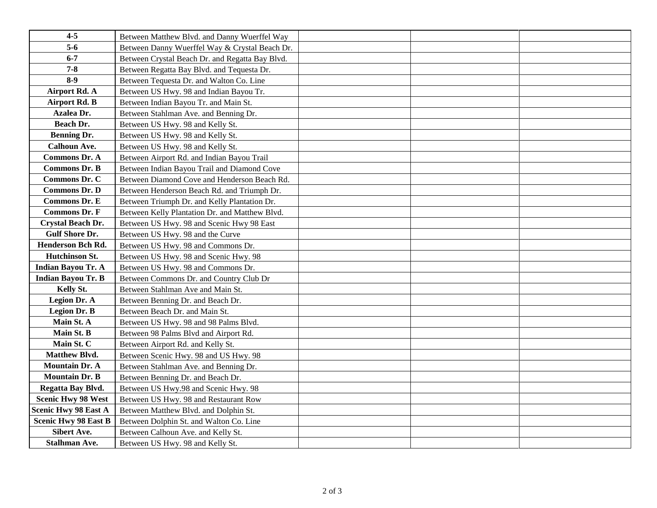| $4 - 5$                     | Between Matthew Blvd. and Danny Wuerffel Way    |  |
|-----------------------------|-------------------------------------------------|--|
| $5-6$                       | Between Danny Wuerffel Way & Crystal Beach Dr.  |  |
| $6 - 7$                     | Between Crystal Beach Dr. and Regatta Bay Blvd. |  |
| $7 - 8$                     | Between Regatta Bay Blvd. and Tequesta Dr.      |  |
| $8-9$                       | Between Tequesta Dr. and Walton Co. Line        |  |
| <b>Airport Rd. A</b>        | Between US Hwy. 98 and Indian Bayou Tr.         |  |
| <b>Airport Rd. B</b>        | Between Indian Bayou Tr. and Main St.           |  |
| Azalea Dr.                  | Between Stahlman Ave. and Benning Dr.           |  |
| Beach Dr.                   | Between US Hwy. 98 and Kelly St.                |  |
| <b>Benning Dr.</b>          | Between US Hwy. 98 and Kelly St.                |  |
| <b>Calhoun Ave.</b>         | Between US Hwy. 98 and Kelly St.                |  |
| <b>Commons Dr. A</b>        | Between Airport Rd. and Indian Bayou Trail      |  |
| <b>Commons Dr. B</b>        | Between Indian Bayou Trail and Diamond Cove     |  |
| Commons Dr. C               | Between Diamond Cove and Henderson Beach Rd.    |  |
| <b>Commons Dr. D</b>        | Between Henderson Beach Rd. and Triumph Dr.     |  |
| <b>Commons Dr. E</b>        | Between Triumph Dr. and Kelly Plantation Dr.    |  |
| <b>Commons Dr. F</b>        | Between Kelly Plantation Dr. and Matthew Blvd.  |  |
| Crystal Beach Dr.           | Between US Hwy. 98 and Scenic Hwy 98 East       |  |
| <b>Gulf Shore Dr.</b>       | Between US Hwy. 98 and the Curve                |  |
| Henderson Bch Rd.           | Between US Hwy. 98 and Commons Dr.              |  |
| Hutchinson St.              | Between US Hwy. 98 and Scenic Hwy. 98           |  |
| <b>Indian Bayou Tr. A</b>   | Between US Hwy. 98 and Commons Dr.              |  |
| <b>Indian Bayou Tr. B</b>   | Between Commons Dr. and Country Club Dr         |  |
| Kelly St.                   | Between Stahlman Ave and Main St.               |  |
| Legion Dr. A                | Between Benning Dr. and Beach Dr.               |  |
| <b>Legion Dr. B</b>         | Between Beach Dr. and Main St.                  |  |
| Main St. A                  | Between US Hwy. 98 and 98 Palms Blvd.           |  |
| Main St. B                  | Between 98 Palms Blvd and Airport Rd.           |  |
| Main St. C                  | Between Airport Rd. and Kelly St.               |  |
| <b>Matthew Blvd.</b>        | Between Scenic Hwy. 98 and US Hwy. 98           |  |
| <b>Mountain Dr. A</b>       | Between Stahlman Ave. and Benning Dr.           |  |
| <b>Mountain Dr. B</b>       | Between Benning Dr. and Beach Dr.               |  |
| Regatta Bay Blvd.           | Between US Hwy.98 and Scenic Hwy. 98            |  |
| <b>Scenic Hwy 98 West</b>   | Between US Hwy. 98 and Restaurant Row           |  |
| <b>Scenic Hwy 98 East A</b> | Between Matthew Blvd. and Dolphin St.           |  |
| <b>Scenic Hwy 98 East B</b> | Between Dolphin St. and Walton Co. Line         |  |
| <b>Sibert Ave.</b>          | Between Calhoun Ave. and Kelly St.              |  |
| <b>Stalhman Ave.</b>        | Between US Hwy. 98 and Kelly St.                |  |